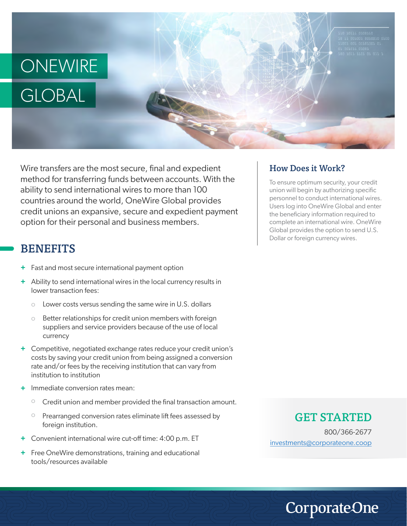

Wire transfers are the most secure, final and expedient method for transferring funds between accounts. With the ability to send international wires to more than 100 countries around the world, OneWire Global provides credit unions an expansive, secure and expedient payment option for their personal and business members.

## **BENEFITS**

- + Fast and most secure international payment option
- Ability to send international wires in the local currency results in **+** lower transaction fees:
	- Lower costs versus sending the same wire in U.S. dollars o
	- Better relationships for credit union members with foreign suppliers and service providers because of the use of local currency o
- Competitive, negotiated exchange rates reduce your credit union's **+** costs by saving your credit union from being assigned a conversion rate and/or fees by the receiving institution that can vary from institution to institution
- **+** Immediate conversion rates mean:
	- o Credit union and member provided the final transaction amount.
	- o Prearranged conversion rates eliminate lift fees assessed by foreign institution.
- **+** Convenient international wire cut-off time: 4:00 p.m. ET
- **+** Free OneWire demonstrations, training and educational tools/resources available

#### How Does it Work?

To ensure optimum security, your credit union will begin by authorizing specific personnel to conduct international wires. Users log into OneWire Global and enter the beneficiary information required to complete an international wire. OneWire Global provides the option to send U.S. Dollar or foreign currency wires.

### GET STARTED

800/366-2677 investments@corporateone.coop

**CorporateOne**